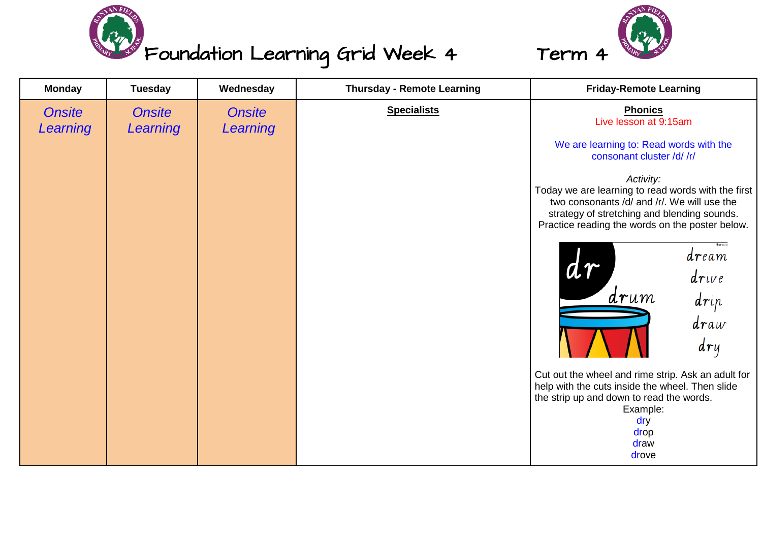

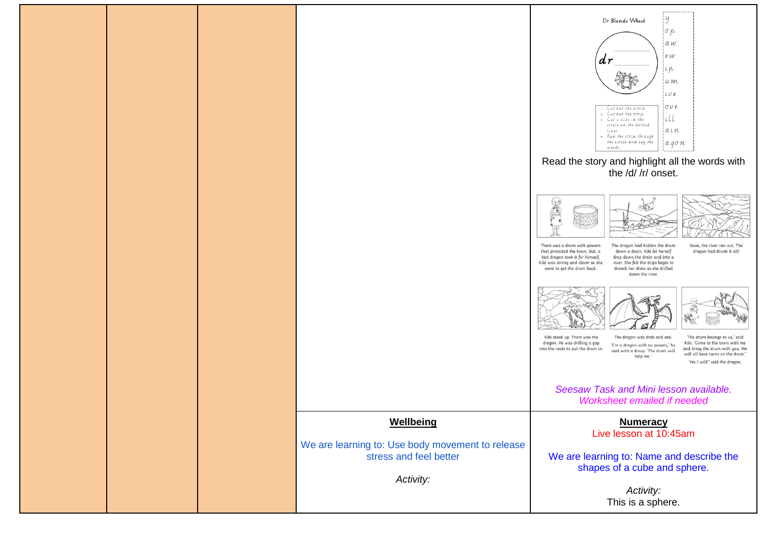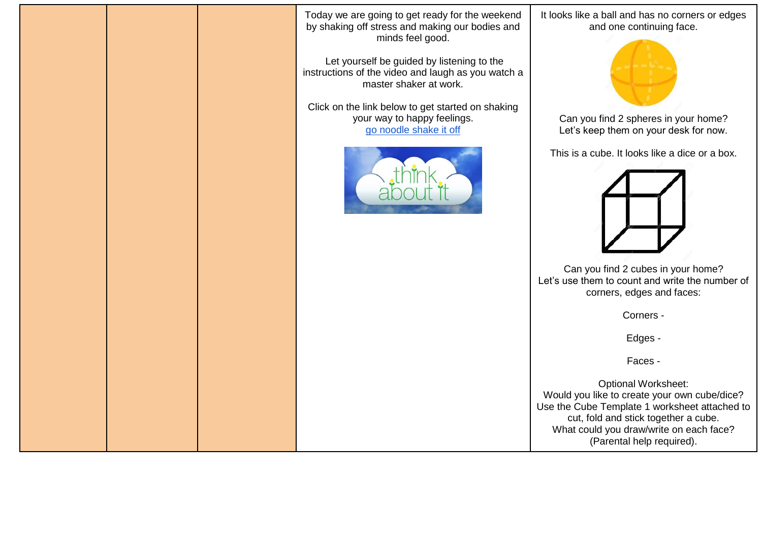Today we are going to get ready for the weekend by shaking off stress and making our bodies and minds feel good.

Let yourself be guided by listening to the instructions of the video and laugh as you watch a master shaker at work.

Click on the link below to get started on shaking your way to happy feelings. [go noodle shake it off](https://www.gonoodle.com/videos/GYpzp2/shake-it-off)



It looks like a ball and has no corners or edges and one continuing face.



Can you find 2 spheres in your home? Let's keep them on your desk for now.

This is a cube. It looks like a dice or a box.



Can you find 2 cubes in your home? Let's use them to count and write the number of corners, edges and faces:

Corners -

Edges -

Faces -

Optional Worksheet: Would you like to create your own cube/dice? Use the Cube Template 1 worksheet attached to cut, fold and stick together a cube. What could you draw/write on each face? (Parental help required).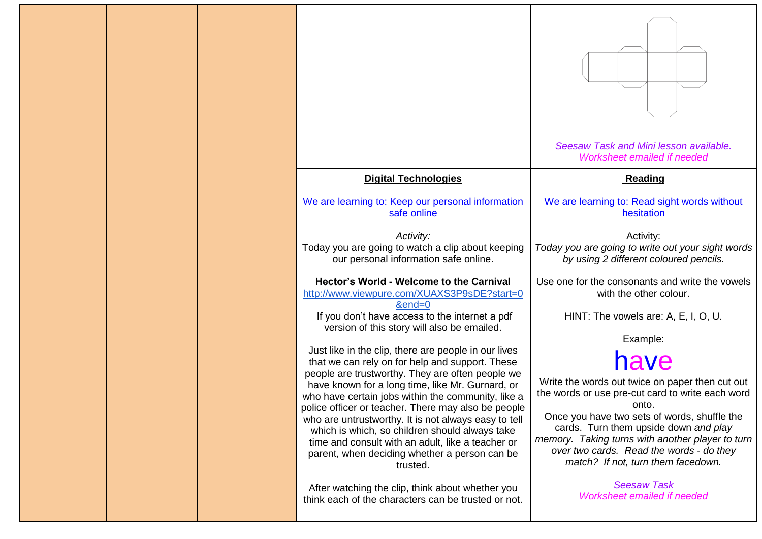|  |                                                                                                                                                                                                                          | Seesaw Task and Mini lesson available.<br>Worksheet emailed if needed                                                                                                                                                       |
|--|--------------------------------------------------------------------------------------------------------------------------------------------------------------------------------------------------------------------------|-----------------------------------------------------------------------------------------------------------------------------------------------------------------------------------------------------------------------------|
|  | <b>Digital Technologies</b>                                                                                                                                                                                              | Reading                                                                                                                                                                                                                     |
|  | We are learning to: Keep our personal information<br>safe online                                                                                                                                                         | We are learning to: Read sight words without<br>hesitation                                                                                                                                                                  |
|  | Activity:<br>Today you are going to watch a clip about keeping<br>our personal information safe online.                                                                                                                  | Activity:<br>Today you are going to write out your sight words<br>by using 2 different coloured pencils.                                                                                                                    |
|  | Hector's World - Welcome to the Carnival<br>http://www.viewpure.com/XUAXS3P9sDE?start=0<br>$&end=0$                                                                                                                      | Use one for the consonants and write the vowels<br>with the other colour.                                                                                                                                                   |
|  | If you don't have access to the internet a pdf<br>version of this story will also be emailed.                                                                                                                            | HINT: The vowels are: A, E, I, O, U.                                                                                                                                                                                        |
|  | Just like in the clip, there are people in our lives                                                                                                                                                                     | Example:                                                                                                                                                                                                                    |
|  | that we can rely on for help and support. These<br>people are trustworthy. They are often people we                                                                                                                      | have                                                                                                                                                                                                                        |
|  | have known for a long time, like Mr. Gurnard, or<br>who have certain jobs within the community, like a<br>police officer or teacher. There may also be people                                                            | Write the words out twice on paper then cut out<br>the words or use pre-cut card to write each word<br>onto.                                                                                                                |
|  | who are untrustworthy. It is not always easy to tell<br>which is which, so children should always take<br>time and consult with an adult, like a teacher or<br>parent, when deciding whether a person can be<br>trusted. | Once you have two sets of words, shuffle the<br>cards. Turn them upside down and play<br>memory. Taking turns with another player to turn<br>over two cards. Read the words - do they<br>match? If not, turn them facedown. |
|  | After watching the clip, think about whether you<br>think each of the characters can be trusted or not.                                                                                                                  | <b>Seesaw Task</b><br>Worksheet emailed if needed                                                                                                                                                                           |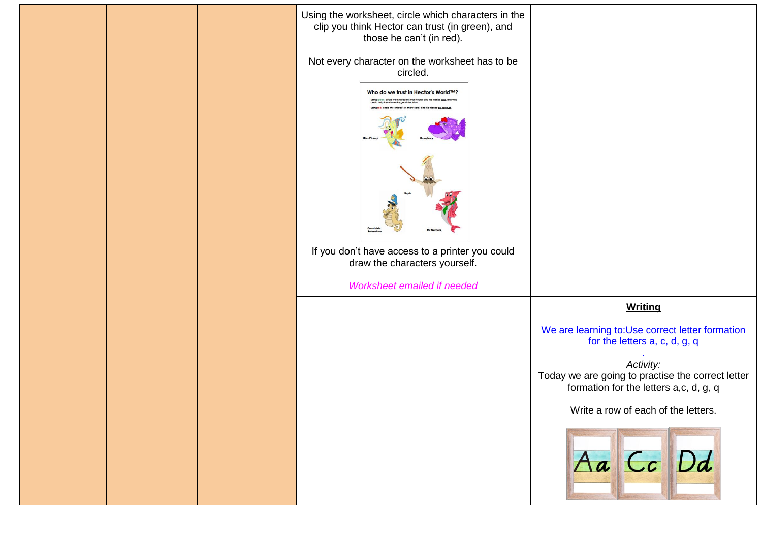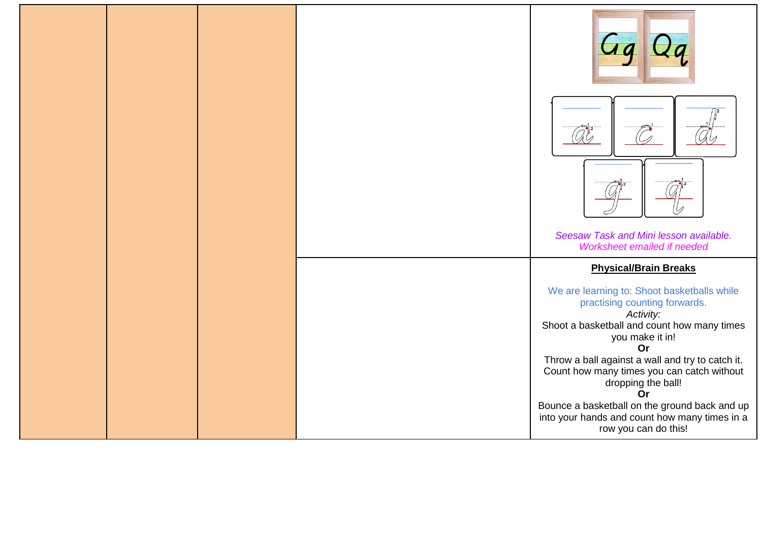|  |  | Seesaw Task and Mini lesson available.<br>Worksheet emailed if needed<br><b>Physical/Brain Breaks</b>                                                                                                                                                               |
|--|--|---------------------------------------------------------------------------------------------------------------------------------------------------------------------------------------------------------------------------------------------------------------------|
|  |  | We are learning to: Shoot basketballs while<br>practising counting forwards.<br>Activity:<br>Shoot a basketball and count how many times<br>you make it in!<br>Or<br>Throw a ball against a wall and try to catch it.<br>Count how many times you can catch without |
|  |  | dropping the ball!<br>Or<br>Bounce a basketball on the ground back and up<br>into your hands and count how many times in a<br>row you can do this!                                                                                                                  |